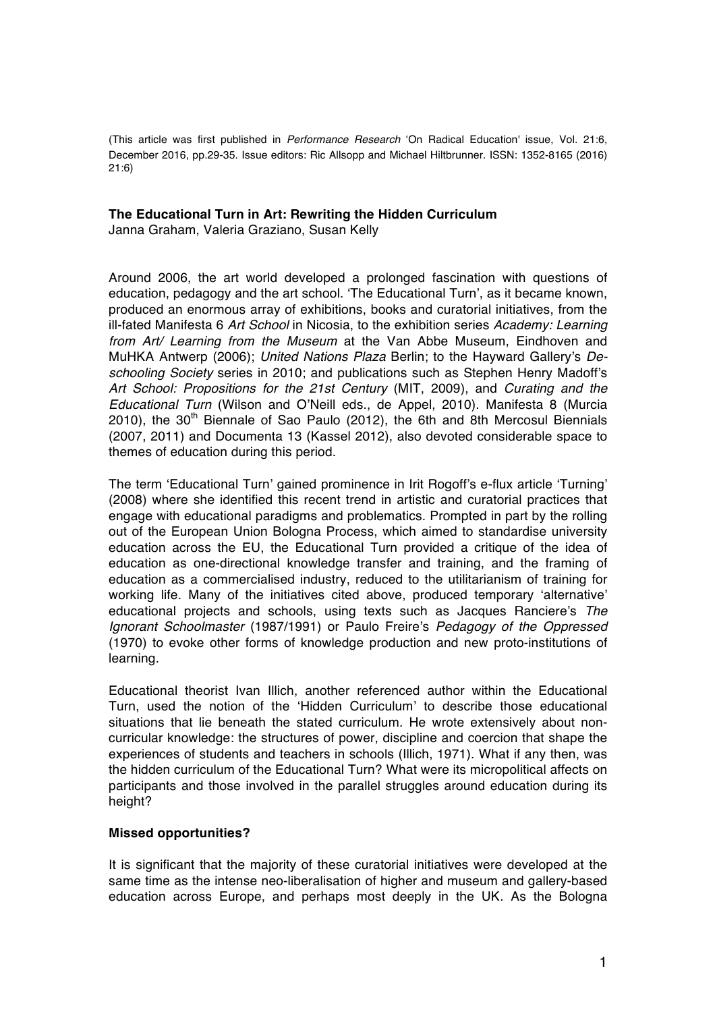(This article was first published in *Performance Research* 'On Radical Education' issue, Vol. 21:6, December 2016, pp.29-35. Issue editors: Ric Allsopp and Michael Hiltbrunner. ISSN: 1352-8165 (2016) 21:6)

### **The Educational Turn in Art: Rewriting the Hidden Curriculum**

Janna Graham, Valeria Graziano, Susan Kelly

Around 2006, the art world developed a prolonged fascination with questions of education, pedagogy and the art school. 'The Educational Turn', as it became known, produced an enormous array of exhibitions, books and curatorial initiatives, from the ill-fated Manifesta 6 *Art School* in Nicosia, to the exhibition series *Academy: Learning from Art/ Learning from the Museum* at the Van Abbe Museum, Eindhoven and MuHKA Antwerp (2006); *United Nations Plaza* Berlin; to the Hayward Gallery's *Deschooling Society* series in 2010; and publications such as Stephen Henry Madoff's *Art School: Propositions for the 21st Century* (MIT, 2009), and *Curating and the Educational Turn* (Wilson and O'Neill eds., de Appel, 2010). Manifesta 8 (Murcia 2010), the  $30<sup>th</sup>$  Biennale of Sao Paulo (2012), the 6th and 8th Mercosul Biennials (2007, 2011) and Documenta 13 (Kassel 2012), also devoted considerable space to themes of education during this period.

The term 'Educational Turn' gained prominence in Irit Rogoff's e-flux article 'Turning' (2008) where she identified this recent trend in artistic and curatorial practices that engage with educational paradigms and problematics. Prompted in part by the rolling out of the European Union Bologna Process, which aimed to standardise university education across the EU, the Educational Turn provided a critique of the idea of education as one-directional knowledge transfer and training, and the framing of education as a commercialised industry, reduced to the utilitarianism of training for working life. Many of the initiatives cited above, produced temporary 'alternative' educational projects and schools, using texts such as Jacques Ranciere's *The Ignorant Schoolmaster* (1987/1991) or Paulo Freire's *Pedagogy of the Oppressed* (1970) to evoke other forms of knowledge production and new proto-institutions of learning.

Educational theorist Ivan Illich, another referenced author within the Educational Turn, used the notion of the 'Hidden Curriculum' to describe those educational situations that lie beneath the stated curriculum. He wrote extensively about noncurricular knowledge: the structures of power, discipline and coercion that shape the experiences of students and teachers in schools (Illich, 1971). What if any then, was the hidden curriculum of the Educational Turn? What were its micropolitical affects on participants and those involved in the parallel struggles around education during its height?

### **Missed opportunities?**

It is significant that the majority of these curatorial initiatives were developed at the same time as the intense neo-liberalisation of higher and museum and gallery-based education across Europe, and perhaps most deeply in the UK. As the Bologna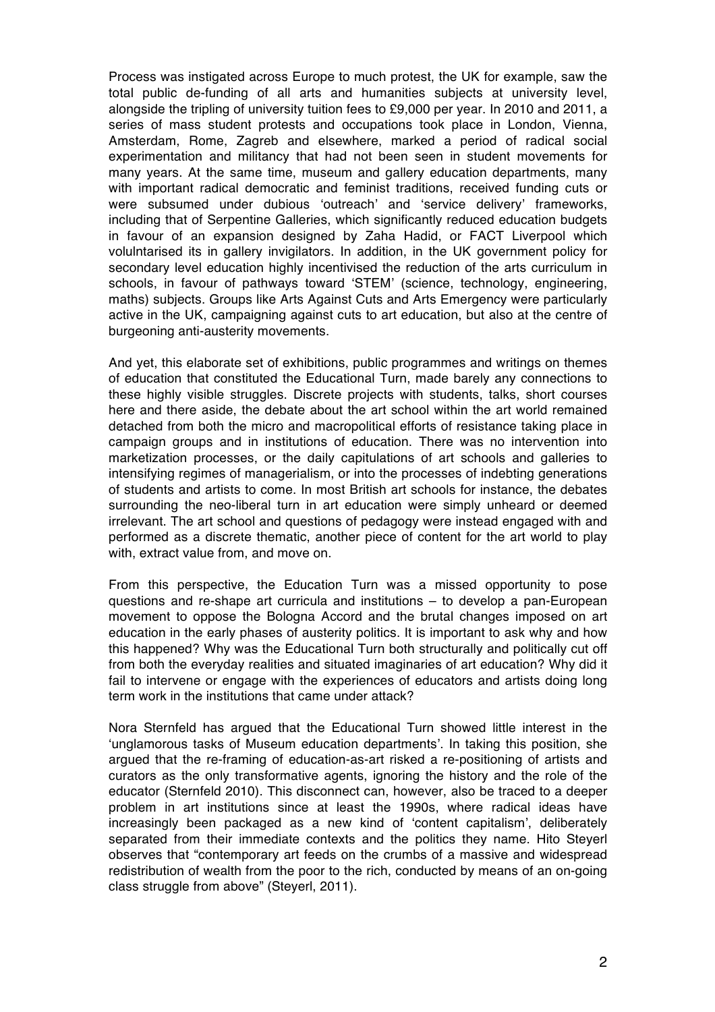Process was instigated across Europe to much protest, the UK for example, saw the total public de-funding of all arts and humanities subjects at university level, alongside the tripling of university tuition fees to £9,000 per year. In 2010 and 2011, a series of mass student protests and occupations took place in London, Vienna, Amsterdam, Rome, Zagreb and elsewhere, marked a period of radical social experimentation and militancy that had not been seen in student movements for many years. At the same time, museum and gallery education departments, many with important radical democratic and feminist traditions, received funding cuts or were subsumed under dubious 'outreach' and 'service delivery' frameworks, including that of Serpentine Galleries, which significantly reduced education budgets in favour of an expansion designed by Zaha Hadid, or FACT Liverpool which volulntarised its in gallery invigilators. In addition, in the UK government policy for secondary level education highly incentivised the reduction of the arts curriculum in schools, in favour of pathways toward 'STEM' (science, technology, engineering, maths) subjects. Groups like Arts Against Cuts and Arts Emergency were particularly active in the UK, campaigning against cuts to art education, but also at the centre of burgeoning anti-austerity movements.

And yet, this elaborate set of exhibitions, public programmes and writings on themes of education that constituted the Educational Turn, made barely any connections to these highly visible struggles. Discrete projects with students, talks, short courses here and there aside, the debate about the art school within the art world remained detached from both the micro and macropolitical efforts of resistance taking place in campaign groups and in institutions of education. There was no intervention into marketization processes, or the daily capitulations of art schools and galleries to intensifying regimes of managerialism, or into the processes of indebting generations of students and artists to come. In most British art schools for instance, the debates surrounding the neo-liberal turn in art education were simply unheard or deemed irrelevant. The art school and questions of pedagogy were instead engaged with and performed as a discrete thematic, another piece of content for the art world to play with, extract value from, and move on.

From this perspective, the Education Turn was a missed opportunity to pose questions and re-shape art curricula and institutions – to develop a pan-European movement to oppose the Bologna Accord and the brutal changes imposed on art education in the early phases of austerity politics. It is important to ask why and how this happened? Why was the Educational Turn both structurally and politically cut off from both the everyday realities and situated imaginaries of art education? Why did it fail to intervene or engage with the experiences of educators and artists doing long term work in the institutions that came under attack?

Nora Sternfeld has argued that the Educational Turn showed little interest in the 'unglamorous tasks of Museum education departments'. In taking this position, she argued that the re-framing of education-as-art risked a re-positioning of artists and curators as the only transformative agents, ignoring the history and the role of the educator (Sternfeld 2010). This disconnect can, however, also be traced to a deeper problem in art institutions since at least the 1990s, where radical ideas have increasingly been packaged as a new kind of 'content capitalism', deliberately separated from their immediate contexts and the politics they name. Hito Steyerl observes that "contemporary art feeds on the crumbs of a massive and widespread redistribution of wealth from the poor to the rich, conducted by means of an on-going class struggle from above" (Steyerl, 2011).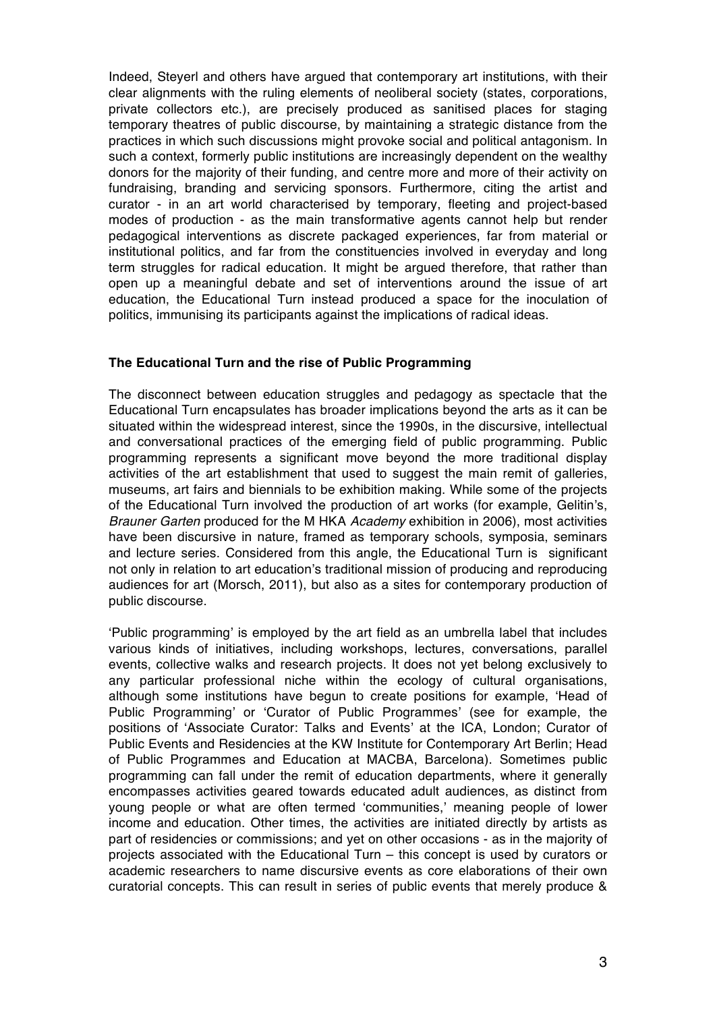Indeed, Steyerl and others have argued that contemporary art institutions, with their clear alignments with the ruling elements of neoliberal society (states, corporations, private collectors etc.), are precisely produced as sanitised places for staging temporary theatres of public discourse, by maintaining a strategic distance from the practices in which such discussions might provoke social and political antagonism. In such a context, formerly public institutions are increasingly dependent on the wealthy donors for the majority of their funding, and centre more and more of their activity on fundraising, branding and servicing sponsors. Furthermore, citing the artist and curator - in an art world characterised by temporary, fleeting and project-based modes of production - as the main transformative agents cannot help but render pedagogical interventions as discrete packaged experiences, far from material or institutional politics, and far from the constituencies involved in everyday and long term struggles for radical education. It might be argued therefore, that rather than open up a meaningful debate and set of interventions around the issue of art education, the Educational Turn instead produced a space for the inoculation of politics, immunising its participants against the implications of radical ideas.

## **The Educational Turn and the rise of Public Programming**

The disconnect between education struggles and pedagogy as spectacle that the Educational Turn encapsulates has broader implications beyond the arts as it can be situated within the widespread interest, since the 1990s, in the discursive, intellectual and conversational practices of the emerging field of public programming. Public programming represents a significant move beyond the more traditional display activities of the art establishment that used to suggest the main remit of galleries, museums, art fairs and biennials to be exhibition making. While some of the projects of the Educational Turn involved the production of art works (for example, Gelitin's, *Brauner Garten* produced for the M HKA *Academy* exhibition in 2006), most activities have been discursive in nature, framed as temporary schools, symposia, seminars and lecture series. Considered from this angle, the Educational Turn is significant not only in relation to art education's traditional mission of producing and reproducing audiences for art (Morsch, 2011), but also as a sites for contemporary production of public discourse.

'Public programming' is employed by the art field as an umbrella label that includes various kinds of initiatives, including workshops, lectures, conversations, parallel events, collective walks and research projects. It does not yet belong exclusively to any particular professional niche within the ecology of cultural organisations, although some institutions have begun to create positions for example, 'Head of Public Programming' or 'Curator of Public Programmes' (see for example, the positions of 'Associate Curator: Talks and Events' at the ICA, London; Curator of Public Events and Residencies at the KW Institute for Contemporary Art Berlin; Head of Public Programmes and Education at MACBA, Barcelona). Sometimes public programming can fall under the remit of education departments, where it generally encompasses activities geared towards educated adult audiences, as distinct from young people or what are often termed 'communities,' meaning people of lower income and education. Other times, the activities are initiated directly by artists as part of residencies or commissions; and yet on other occasions - as in the majority of projects associated with the Educational Turn – this concept is used by curators or academic researchers to name discursive events as core elaborations of their own curatorial concepts. This can result in series of public events that merely produce &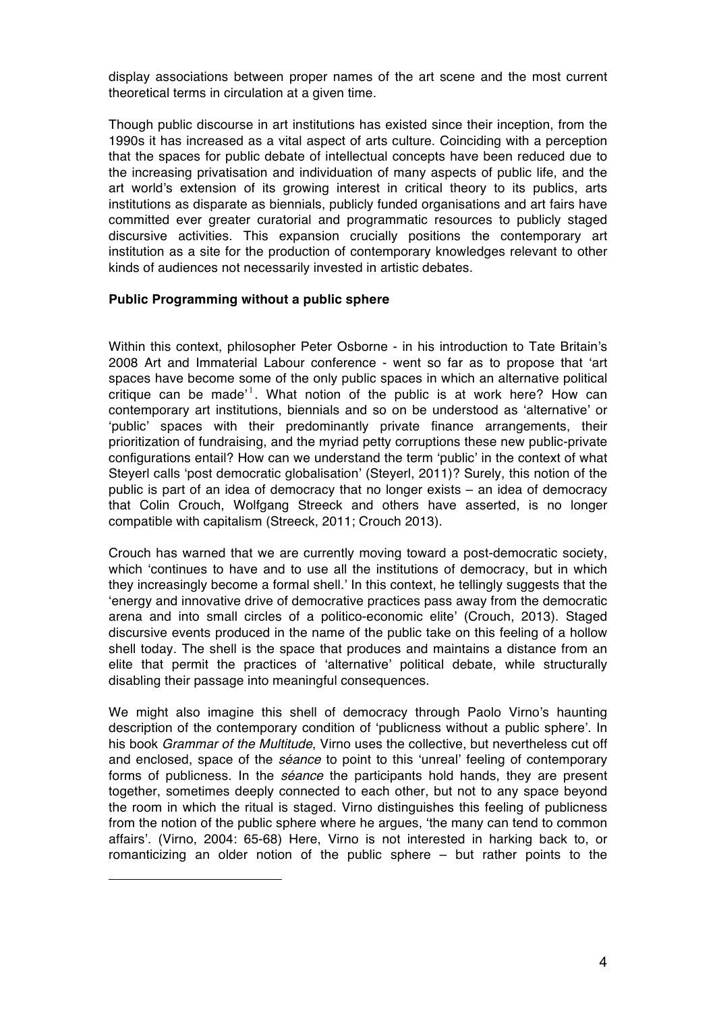display associations between proper names of the art scene and the most current theoretical terms in circulation at a given time.

Though public discourse in art institutions has existed since their inception, from the 1990s it has increased as a vital aspect of arts culture. Coinciding with a perception that the spaces for public debate of intellectual concepts have been reduced due to the increasing privatisation and individuation of many aspects of public life, and the art world's extension of its growing interest in critical theory to its publics, arts institutions as disparate as biennials, publicly funded organisations and art fairs have committed ever greater curatorial and programmatic resources to publicly staged discursive activities. This expansion crucially positions the contemporary art institution as a site for the production of contemporary knowledges relevant to other kinds of audiences not necessarily invested in artistic debates.

## **Public Programming without a public sphere**

 $\overline{a}$ 

Within this context, philosopher Peter Osborne - in his introduction to Tate Britain's 2008 Art and Immaterial Labour conference - went so far as to propose that 'art spaces have become some of the only public spaces in which an alternative political critique can be made'<sup>1</sup>. What notion of the public is at work here? How can contemporary art institutions, biennials and so on be understood as 'alternative' or 'public' spaces with their predominantly private finance arrangements, their prioritization of fundraising, and the myriad petty corruptions these new public-private configurations entail? How can we understand the term 'public' in the context of what Steyerl calls 'post democratic globalisation' (Steyerl, 2011)? Surely, this notion of the public is part of an idea of democracy that no longer exists – an idea of democracy that Colin Crouch, Wolfgang Streeck and others have asserted, is no longer compatible with capitalism (Streeck, 2011; Crouch 2013).

Crouch has warned that we are currently moving toward a post-democratic society, which 'continues to have and to use all the institutions of democracy, but in which they increasingly become a formal shell.' In this context, he tellingly suggests that the 'energy and innovative drive of democrative practices pass away from the democratic arena and into small circles of a politico-economic elite' (Crouch, 2013). Staged discursive events produced in the name of the public take on this feeling of a hollow shell today. The shell is the space that produces and maintains a distance from an elite that permit the practices of 'alternative' political debate, while structurally disabling their passage into meaningful consequences.

We might also imagine this shell of democracy through Paolo Virno's haunting description of the contemporary condition of 'publicness without a public sphere'. In his book *Grammar of the Multitude*, Virno uses the collective, but nevertheless cut off and enclosed, space of the *séance* to point to this 'unreal' feeling of contemporary forms of publicness. In the *séance* the participants hold hands, they are present together, sometimes deeply connected to each other, but not to any space beyond the room in which the ritual is staged. Virno distinguishes this feeling of publicness from the notion of the public sphere where he argues, 'the many can tend to common affairs'. (Virno, 2004: 65-68) Here, Virno is not interested in harking back to, or romanticizing an older notion of the public sphere – but rather points to the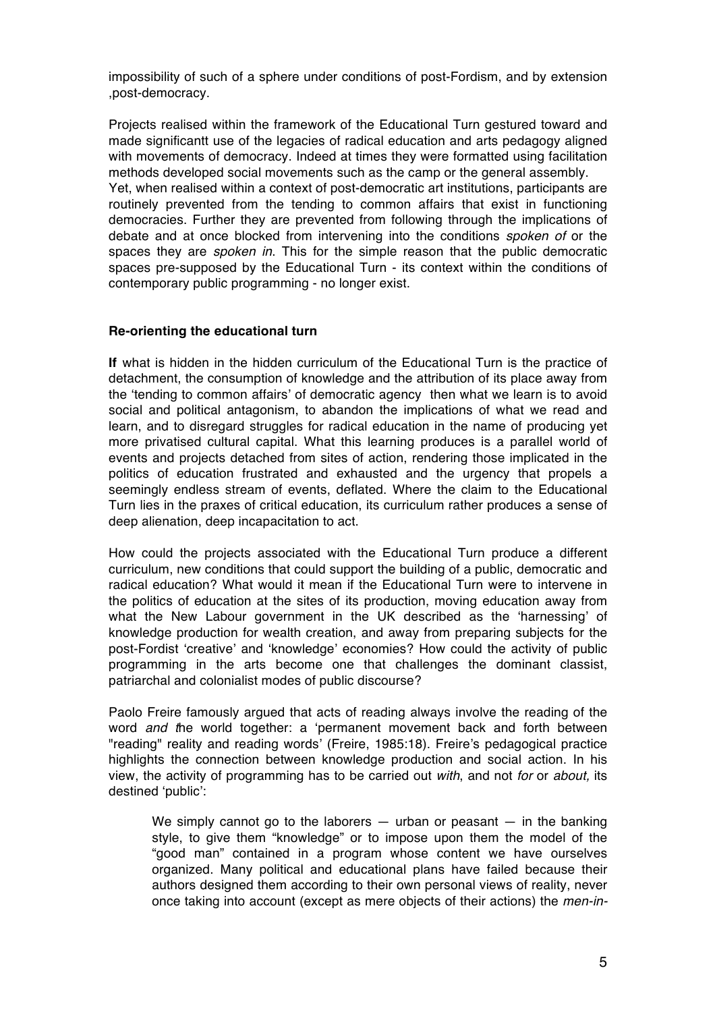impossibility of such of a sphere under conditions of post-Fordism, and by extension ,post-democracy.

Projects realised within the framework of the Educational Turn gestured toward and made significantt use of the legacies of radical education and arts pedagogy aligned with movements of democracy. Indeed at times they were formatted using facilitation methods developed social movements such as the camp or the general assembly. Yet, when realised within a context of post-democratic art institutions, participants are routinely prevented from the tending to common affairs that exist in functioning democracies. Further they are prevented from following through the implications of debate and at once blocked from intervening into the conditions *spoken of* or the spaces they are *spoken in*. This for the simple reason that the public democratic spaces pre-supposed by the Educational Turn - its context within the conditions of contemporary public programming - no longer exist.

## **Re-orienting the educational turn**

**If** what is hidden in the hidden curriculum of the Educational Turn is the practice of detachment, the consumption of knowledge and the attribution of its place away from the 'tending to common affairs' of democratic agency then what we learn is to avoid social and political antagonism, to abandon the implications of what we read and learn, and to disregard struggles for radical education in the name of producing yet more privatised cultural capital. What this learning produces is a parallel world of events and projects detached from sites of action, rendering those implicated in the politics of education frustrated and exhausted and the urgency that propels a seemingly endless stream of events, deflated. Where the claim to the Educational Turn lies in the praxes of critical education, its curriculum rather produces a sense of deep alienation, deep incapacitation to act.

How could the projects associated with the Educational Turn produce a different curriculum, new conditions that could support the building of a public, democratic and radical education? What would it mean if the Educational Turn were to intervene in the politics of education at the sites of its production, moving education away from what the New Labour government in the UK described as the 'harnessing' of knowledge production for wealth creation, and away from preparing subjects for the post-Fordist 'creative' and 'knowledge' economies? How could the activity of public programming in the arts become one that challenges the dominant classist, patriarchal and colonialist modes of public discourse?

Paolo Freire famously argued that acts of reading always involve the reading of the word *and t*he world together: a 'permanent movement back and forth between "reading" reality and reading words' (Freire, 1985:18). Freire's pedagogical practice highlights the connection between knowledge production and social action. In his view, the activity of programming has to be carried out *with*, and not *for* or *about,* its destined 'public':

We simply cannot go to the laborers  $-$  urban or peasant  $-$  in the banking style, to give them "knowledge" or to impose upon them the model of the "good man" contained in a program whose content we have ourselves organized. Many political and educational plans have failed because their authors designed them according to their own personal views of reality, never once taking into account (except as mere objects of their actions) the *men-in-*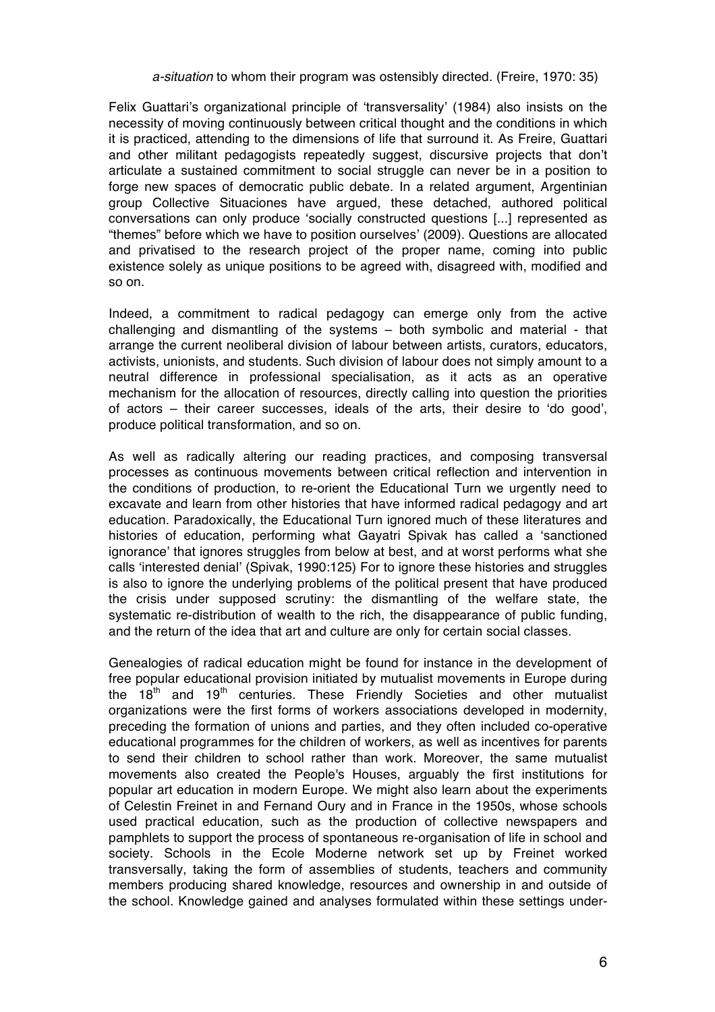### *a-situation* to whom their program was ostensibly directed. (Freire, 1970: 35)

Felix Guattari's organizational principle of 'transversality' (1984) also insists on the necessity of moving continuously between critical thought and the conditions in which it is practiced, attending to the dimensions of life that surround it. As Freire, Guattari and other militant pedagogists repeatedly suggest, discursive projects that don't articulate a sustained commitment to social struggle can never be in a position to forge new spaces of democratic public debate. In a related argument, Argentinian group Collective Situaciones have argued, these detached, authored political conversations can only produce 'socially constructed questions [...] represented as "themes" before which we have to position ourselves' (2009). Questions are allocated and privatised to the research project of the proper name, coming into public existence solely as unique positions to be agreed with, disagreed with, modified and so on.

Indeed, a commitment to radical pedagogy can emerge only from the active challenging and dismantling of the systems – both symbolic and material - that arrange the current neoliberal division of labour between artists, curators, educators, activists, unionists, and students. Such division of labour does not simply amount to a neutral difference in professional specialisation, as it acts as an operative mechanism for the allocation of resources, directly calling into question the priorities of actors – their career successes, ideals of the arts, their desire to 'do good', produce political transformation, and so on.

As well as radically altering our reading practices, and composing transversal processes as continuous movements between critical reflection and intervention in the conditions of production, to re-orient the Educational Turn we urgently need to excavate and learn from other histories that have informed radical pedagogy and art education. Paradoxically, the Educational Turn ignored much of these literatures and histories of education, performing what Gayatri Spivak has called a 'sanctioned ignorance' that ignores struggles from below at best, and at worst performs what she calls 'interested denial' (Spivak, 1990:125) For to ignore these histories and struggles is also to ignore the underlying problems of the political present that have produced the crisis under supposed scrutiny: the dismantling of the welfare state, the systematic re-distribution of wealth to the rich, the disappearance of public funding, and the return of the idea that art and culture are only for certain social classes.

Genealogies of radical education might be found for instance in the development of free popular educational provision initiated by mutualist movements in Europe during the  $18<sup>th</sup>$  and  $19<sup>th</sup>$  centuries. These Friendly Societies and other mutualist organizations were the first forms of workers associations developed in modernity, preceding the formation of unions and parties, and they often included co-operative educational programmes for the children of workers, as well as incentives for parents to send their children to school rather than work. Moreover, the same mutualist movements also created the People's Houses, arguably the first institutions for popular art education in modern Europe. We might also learn about the experiments of Celestin Freinet in and Fernand Oury and in France in the 1950s, whose schools used practical education, such as the production of collective newspapers and pamphlets to support the process of spontaneous re-organisation of life in school and society. Schools in the Ecole Moderne network set up by Freinet worked transversally, taking the form of assemblies of students, teachers and community members producing shared knowledge, resources and ownership in and outside of the school. Knowledge gained and analyses formulated within these settings under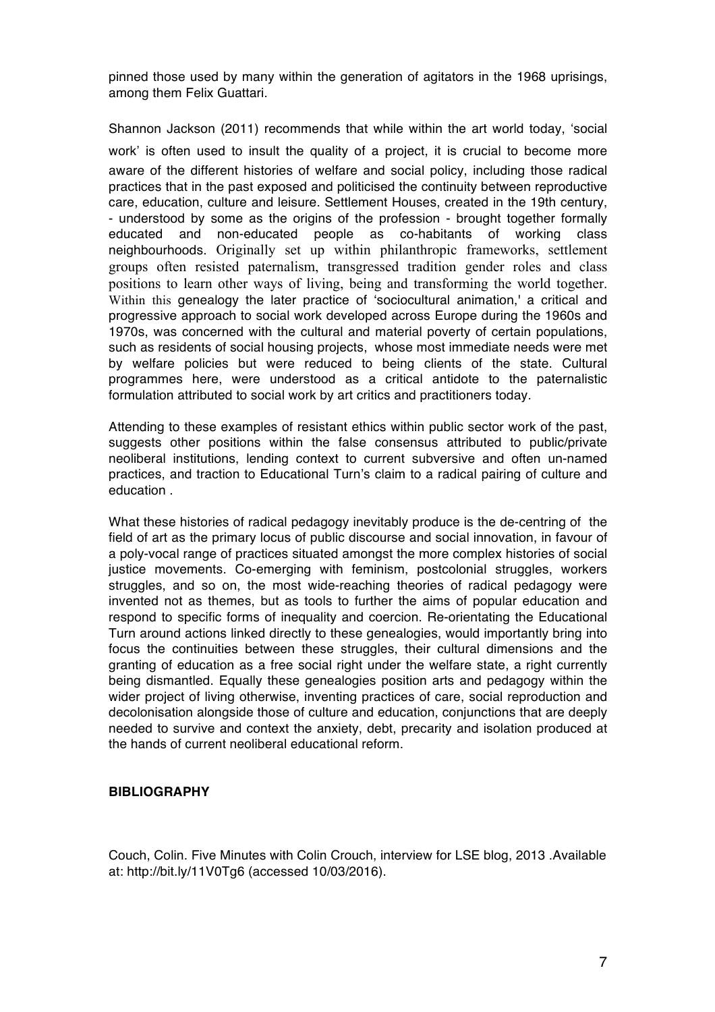pinned those used by many within the generation of agitators in the 1968 uprisings, among them Felix Guattari.

Shannon Jackson (2011) recommends that while within the art world today, 'social work' is often used to insult the quality of a project, it is crucial to become more aware of the different histories of welfare and social policy, including those radical practices that in the past exposed and politicised the continuity between reproductive care, education, culture and leisure. Settlement Houses, created in the 19th century, - understood by some as the origins of the profession - brought together formally educated and non-educated people as co-habitants of working class neighbourhoods. Originally set up within philanthropic frameworks, settlement groups often resisted paternalism, transgressed tradition gender roles and class positions to learn other ways of living, being and transforming the world together. Within this genealogy the later practice of 'sociocultural animation,' a critical and progressive approach to social work developed across Europe during the 1960s and 1970s, was concerned with the cultural and material poverty of certain populations, such as residents of social housing projects, whose most immediate needs were met by welfare policies but were reduced to being clients of the state. Cultural programmes here, were understood as a critical antidote to the paternalistic formulation attributed to social work by art critics and practitioners today.

Attending to these examples of resistant ethics within public sector work of the past, suggests other positions within the false consensus attributed to public/private neoliberal institutions, lending context to current subversive and often un-named practices, and traction to Educational Turn's claim to a radical pairing of culture and education .

What these histories of radical pedagogy inevitably produce is the de-centring of the field of art as the primary locus of public discourse and social innovation, in favour of a poly-vocal range of practices situated amongst the more complex histories of social justice movements. Co-emerging with feminism, postcolonial struggles, workers struggles, and so on, the most wide-reaching theories of radical pedagogy were invented not as themes, but as tools to further the aims of popular education and respond to specific forms of inequality and coercion. Re-orientating the Educational Turn around actions linked directly to these genealogies, would importantly bring into focus the continuities between these struggles, their cultural dimensions and the granting of education as a free social right under the welfare state, a right currently being dismantled. Equally these genealogies position arts and pedagogy within the wider project of living otherwise, inventing practices of care, social reproduction and decolonisation alongside those of culture and education, conjunctions that are deeply needed to survive and context the anxiety, debt, precarity and isolation produced at the hands of current neoliberal educational reform.

## **BIBLIOGRAPHY**

Couch, Colin. Five Minutes with Colin Crouch, interview for LSE blog, 2013 .Available at: http://bit.ly/11V0Tg6 (accessed 10/03/2016).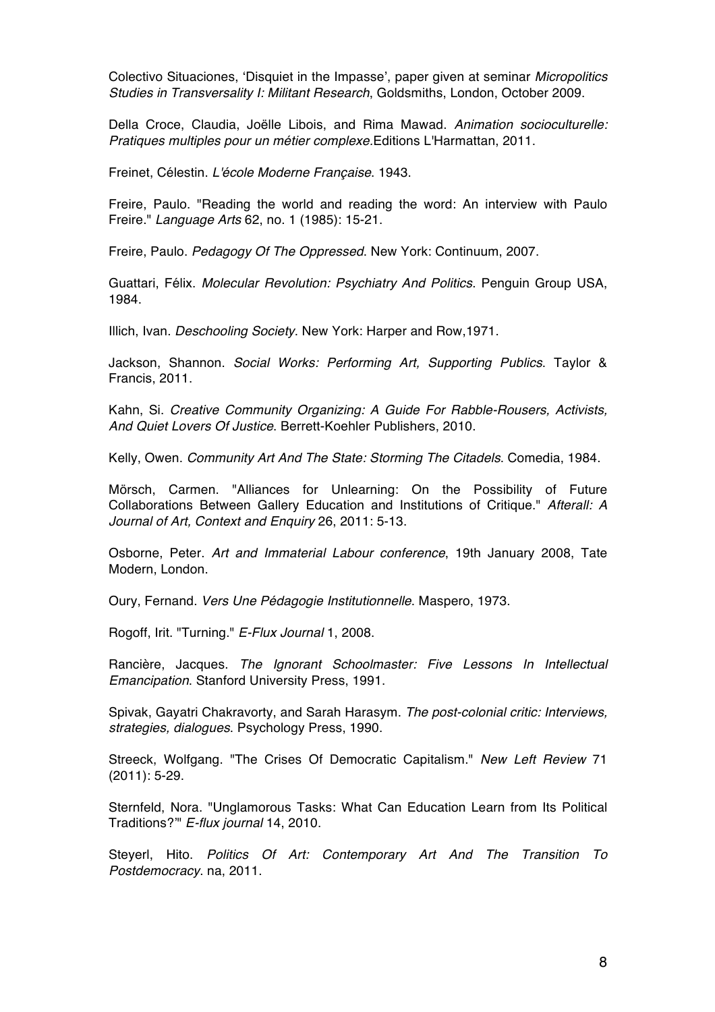Colectivo Situaciones, 'Disquiet in the Impasse', paper given at seminar *Micropolitics Studies in Transversality I: Militant Research*, Goldsmiths, London, October 2009.

Della Croce, Claudia, Joëlle Libois, and Rima Mawad. *Animation socioculturelle: Pratiques multiples pour un métier complexe.*Editions L'Harmattan, 2011.

Freinet, Célestin. *L'école Moderne Française*. 1943.

Freire, Paulo. "Reading the world and reading the word: An interview with Paulo Freire." *Language Arts* 62, no. 1 (1985): 15-21.

Freire, Paulo. *Pedagogy Of The Oppressed*. New York: Continuum, 2007.

Guattari, Félix. *Molecular Revolution: Psychiatry And Politics*. Penguin Group USA, 1984.

Illich, Ivan. *Deschooling Society*. New York: Harper and Row,1971.

Jackson, Shannon. *Social Works: Performing Art, Supporting Publics*. Taylor & Francis, 2011.

Kahn, Si. *Creative Community Organizing: A Guide For Rabble-Rousers, Activists, And Quiet Lovers Of Justice*. Berrett-Koehler Publishers, 2010.

Kelly, Owen. *Community Art And The State: Storming The Citadels*. Comedia, 1984.

Mörsch, Carmen. "Alliances for Unlearning: On the Possibility of Future Collaborations Between Gallery Education and Institutions of Critique." *Afterall: A Journal of Art, Context and Enquiry* 26, 2011: 5-13.

Osborne, Peter. *Art and Immaterial Labour conference*, 19th January 2008, Tate Modern, London.

Oury, Fernand. *Vers Une Pédagogie Institutionnelle*. Maspero, 1973.

Rogoff, Irit. "Turning." *E-Flux Journal* 1, 2008.

Rancière, Jacques. *The Ignorant Schoolmaster: Five Lessons In Intellectual Emancipation*. Stanford University Press, 1991.

Spivak, Gayatri Chakravorty, and Sarah Harasym. *The post-colonial critic: Interviews, strategies, dialogues*. Psychology Press, 1990.

Streeck, Wolfgang. "The Crises Of Democratic Capitalism." *New Left Review* 71 (2011): 5-29.

Sternfeld, Nora. "Unglamorous Tasks: What Can Education Learn from Its Political Traditions?'" *E-flux journal* 14, 2010.

Steyerl, Hito. *Politics Of Art: Contemporary Art And The Transition To Postdemocracy*. na, 2011.